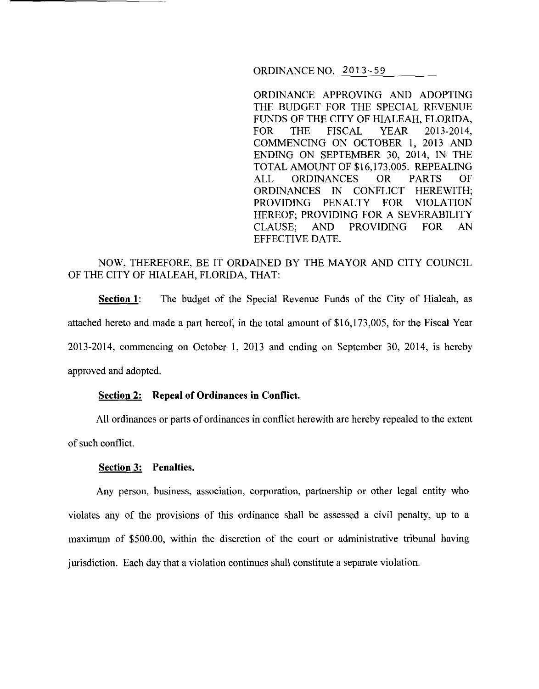ORDINANCE NO. 2013-59

ORDINANCE APPROVING AND ADOPTING THE BUDGET FOR THE SPECIAL REVENUE FUNDS OF THE CITY OF HIALEAH, FLORIDA, FOR THE FISCAL YEAR 2013-2014, COMMENCING ON OCTOBER I, 2013 AND ENDING ON SEPTEMBER 30, 2014, IN THE TOTAL AMOUNT OF \$16,173,005. REPEALING ALL ORDINANCES OR PARTS OF ORDINANCES IN CONFLICT HEREWITH; PROVIDING PENALTY FOR VIOLATION HEREOF; PROVIDING FOR A SEVERABILITY CLAUSE; AND PROVIDING FOR AN EFFECTIVE DATE.

# NOW, THEREFORE, BE IT ORDAINED BY THE MAYOR AND CITY COUNCIL OF THE CITY OF HIALEAH, FLORIDA, THAT:

**Section 1:** The budget of the Special Revenue Funds of the City of Hialeah, as attached hereto and made a part hereof, in the total amount of \$16,173,005, for the Fiscal Year 2013-2014, commencing on October I, 2013 and ending on September 30, 2014, is hereby approved and adopted.

#### **Section 2: Repeal of Ordinances in Conflict.**

All ordinances or parts of ordinances in conflict herewith are hereby repealed to the extent of such conflict.

#### **Section 3: Penalties.**

Any person, business, association, corporation, partnership or other legal entity who violates any of the provisions of this ordinance shall be assessed a civil penalty, up to a maximum of \$500.00, within the discretion of the court or administrative tribunal having jurisdiction. Each day that a violation continues shall constitute a separate violation.